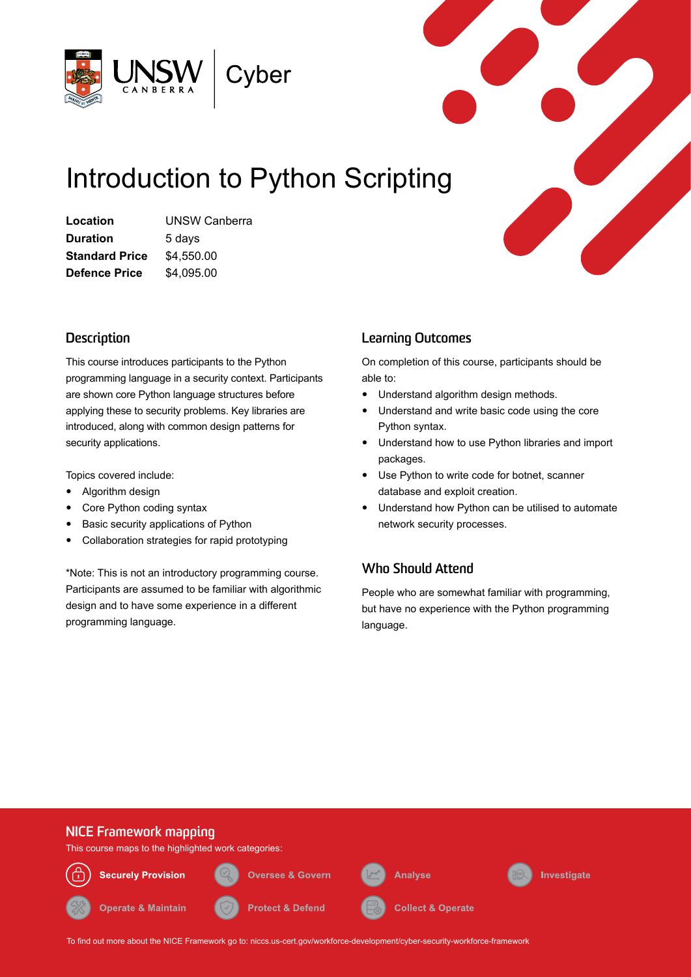

# Introduction to Python Scripting

**Location** UNSW Canberra **Duration** 5 days **Standard Price** \$4,550.00 **Defence Price** \$4,095.00

# **Description**

This course introduces participants to the Python programming language in a security context. Participants are shown core Python language structures before applying these to security problems. Key libraries are introduced, along with common design patterns for security applications.

Topics covered include:

- Algorithm design
- Core Python coding syntax
- Basic security applications of Python
- Collaboration strategies for rapid prototyping

\*Note: This is not an introductory programming course. Participants are assumed to be familiar with algorithmic design and to have some experience in a different programming language.

# **Learning Outcomes**

On completion of this course, participants should be able to:

- Understand algorithm design methods.
- Understand and write basic code using the core Python syntax.
- Understand how to use Python libraries and import packages.
- Use Python to write code for botnet, scanner database and exploit creation.
- Understand how Python can be utilised to automate network security processes.

# **Who Should Attend**

People who are somewhat familiar with programming, but have no experience with the Python programming language.



To find out more about the NICE Framework go to: [niccs.us-cert.gov/workforce-development/cyber-security-workforce-framework](http://niccs.us-cert.gov/workforce-development/cyber-security-workforce-framework)